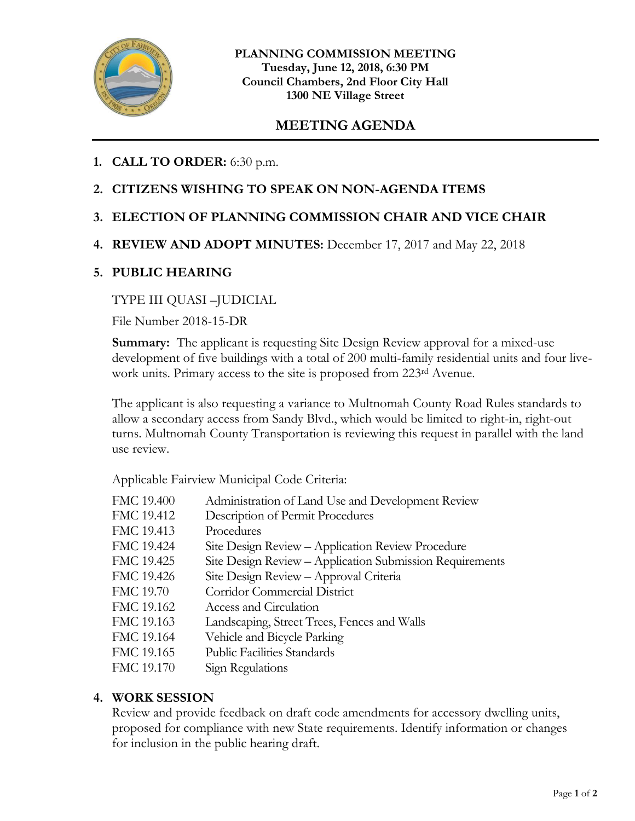

# **MEETING AGENDA**

## **1. CALL TO ORDER:** 6:30 p.m.

### **2. CITIZENS WISHING TO SPEAK ON NON-AGENDA ITEMS**

### **3. ELECTION OF PLANNING COMMISSION CHAIR AND VICE CHAIR**

#### **4. REVIEW AND ADOPT MINUTES:** December 17, 2017 and May 22, 2018

#### **5. PUBLIC HEARING**

#### TYPE III QUASI –JUDICIAL

File Number 2018-15-DR

**Summary:** The applicant is requesting Site Design Review approval for a mixed-use development of five buildings with a total of 200 multi-family residential units and four livework units. Primary access to the site is proposed from 223<sup>rd</sup> Avenue.

The applicant is also requesting a variance to Multnomah County Road Rules standards to allow a secondary access from Sandy Blvd., which would be limited to right-in, right-out turns. Multnomah County Transportation is reviewing this request in parallel with the land use review.

Applicable Fairview Municipal Code Criteria:

FMC 19.400 Administration of Land Use and Development Review FMC 19.412 Description of Permit Procedures FMC 19.413 Procedures FMC 19.424 Site Design Review – Application Review Procedure FMC 19.425 Site Design Review – Application Submission Requirements FMC 19.426 Site Design Review – Approval Criteria FMC 19.70 Corridor Commercial District FMC 19.162 Access and Circulation FMC 19.163 Landscaping, Street Trees, Fences and Walls FMC 19.164 Vehicle and Bicycle Parking FMC 19.165 Public Facilities Standards FMC 19.170 Sign Regulations

#### **4. WORK SESSION**

Review and provide feedback on draft code amendments for accessory dwelling units, proposed for compliance with new State requirements. Identify information or changes for inclusion in the public hearing draft.